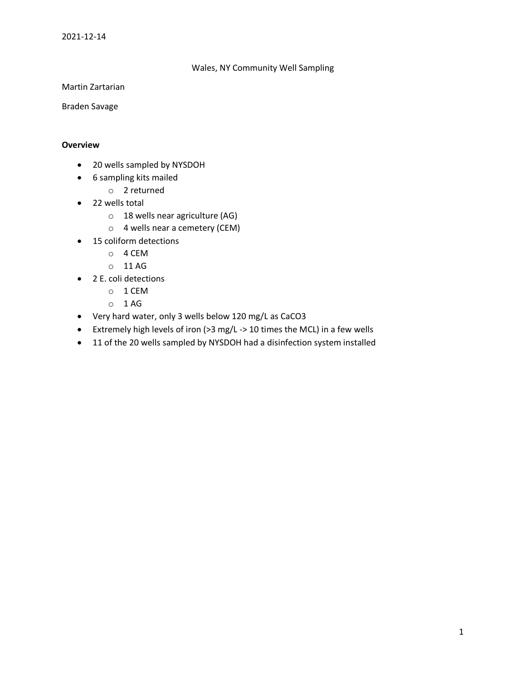### Wales, NY Community Well Sampling

Martin Zartarian

Braden Savage

#### **Overview**

- 20 wells sampled by NYSDOH
- 6 sampling kits mailed
	- o 2 returned
- 22 wells total
	- o 18 wells near agriculture (AG)
	- o 4 wells near a cemetery (CEM)
- 15 coliform detections
	- o 4 CEM
	- o 11 AG
- 2 E. coli detections
	- o 1 CEM
	- $O$  1 AG
- Very hard water, only 3 wells below 120 mg/L as CaCO3
- Extremely high levels of iron (>3 mg/L -> 10 times the MCL) in a few wells
- 11 of the 20 wells sampled by NYSDOH had a disinfection system installed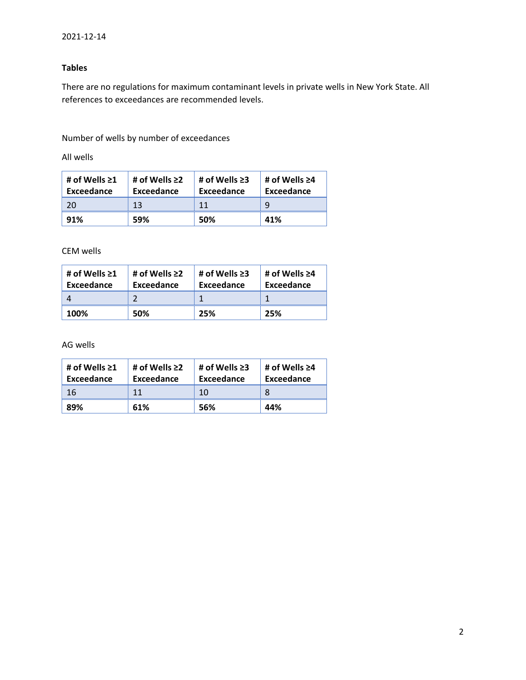## **Tables**

There are no regulations for maximum contaminant levels in private wells in New York State. All references to exceedances are recommended levels.

Number of wells by number of exceedances

All wells

| # of Wells $\geq 1$<br>Exceedance | # of Wells $\geq$ 2<br>Exceedance | # of Wells $\geq 3$<br>Exceedance | # of Wells $\geq 4$<br>Exceedance |
|-----------------------------------|-----------------------------------|-----------------------------------|-----------------------------------|
| 20                                | 13                                | 11                                | q                                 |
| 91%                               | 59%                               | 50%                               | 41%                               |

CEM wells

| # of Wells $\geq 1$<br>Exceedance | # of Wells $\geq$ 2<br>Exceedance | # of Wells $\geq$ 3<br>Exceedance | # of Wells $\geq 4$<br>Exceedance |
|-----------------------------------|-----------------------------------|-----------------------------------|-----------------------------------|
|                                   |                                   |                                   |                                   |
| 100%                              | 50%                               | 25%                               | 25%                               |

AG wells

| # of Wells $\geq 1$<br>Exceedance | # of Wells $\geq$ 2<br>Exceedance | # of Wells $\geq 3$<br>Exceedance | # of Wells $\geq 4$<br>Exceedance |  |
|-----------------------------------|-----------------------------------|-----------------------------------|-----------------------------------|--|
| 16                                | 11                                | 10                                |                                   |  |
| 61%<br>89%                        |                                   | 56%                               | 44%                               |  |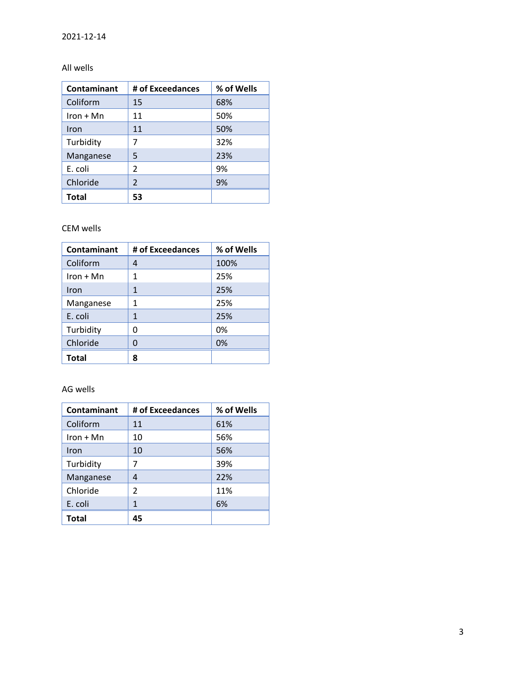# All wells

| Contaminant  | # of Exceedances | % of Wells |  |
|--------------|------------------|------------|--|
| Coliform     | 15               | 68%        |  |
| $Iron + Mn$  | 11               | 50%        |  |
| Iron         | 11               | 50%        |  |
| Turbidity    | 7                | 32%        |  |
| Manganese    | 5                | 23%        |  |
| E. coli      | $\mathfrak z$    | 9%         |  |
| Chloride     | $\mathfrak{p}$   | 9%         |  |
| <b>Total</b> | 53               |            |  |

## CEM wells

| Contaminant  | # of Exceedances | % of Wells |
|--------------|------------------|------------|
| Coliform     | 4                | 100%       |
| $Iron + Mn$  | 1                | 25%        |
| Iron         | 1                | 25%        |
| Manganese    | 1                | 25%        |
| E. coli      | 1                | 25%        |
| Turbidity    | 0                | 0%         |
| Chloride     | O                | 0%         |
| <b>Total</b> | 8                |            |

## AG wells

| Contaminant  | # of Exceedances | % of Wells |
|--------------|------------------|------------|
| Coliform     | 11               | 61%        |
| $Iron + Mn$  | 10               | 56%        |
| Iron         | 10               | 56%        |
| Turbidity    | 7                | 39%        |
| Manganese    | 4                | 22%        |
| Chloride     | 2                | 11%        |
| E. coli      | 1                | 6%         |
| <b>Total</b> | 45               |            |